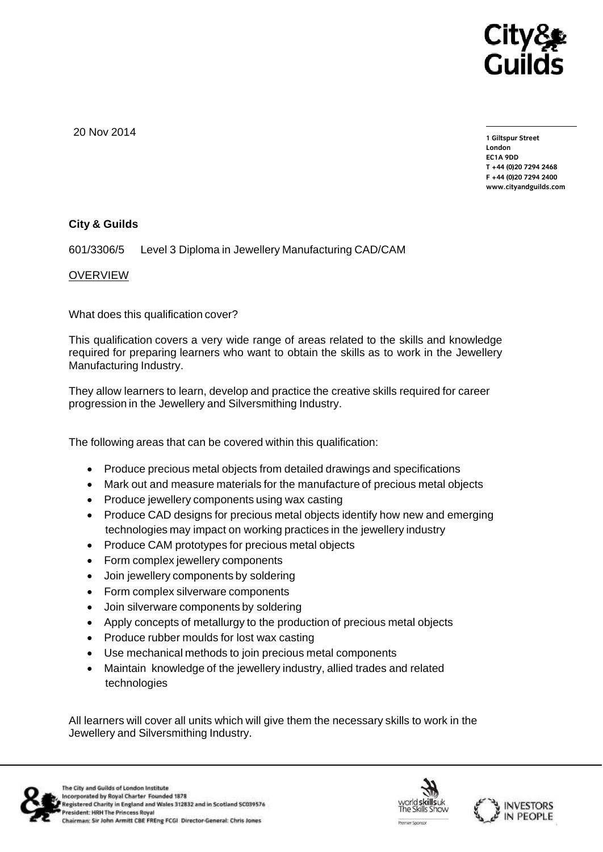

20 Nov 2014

**1 Giltspur Street EC1A 9DD** T +44 (0)20 7294 2468 **T +44 (0)20 7294 246[8](http://www.cityandguilds.com/) [F +44 \(0\)20 7294 2400](http://www.cityandguilds.com/) www.cityandguilds.com**

## **City & Guilds**

601/3306/5 Level 3 Diploma in Jewellery Manufacturing CAD/CAM

## OVERVIEW

What does this qualification cover?

This qualification covers a very wide range of areas related to the skills and knowledge required for preparing learners who want to obtain the skills as to work in the Jewellery Manufacturing Industry.

They allow learners to learn, develop and practice the creative skills required for career progression in the Jewellery and Silversmithing Industry.

The following areas that can be covered within this qualification:

- Produce precious metal objects from detailed drawings and specifications
- Mark out and measure materials for the manufacture of precious metal objects
- Produce jewellery components using wax casting
- Produce CAD designs for precious metal objects identify how new and emerging technologies may impact on working practices in the jewellery industry
- Produce CAM prototypes for precious metal objects
- Form complex jewellery components
- Join jewellery components by soldering
- Form complex silverware components
- Join silverware components by soldering
- Apply concepts of metallurgy to the production of precious metal objects
- Produce rubber moulds for lost wax casting
- Use mechanical methods to join precious metal components
- Maintain knowledge of the jewellery industry, allied trades and related technologies

All learners will cover all units which will give them the necessary skills to work in the Jewellery and Silversmithing Industry.